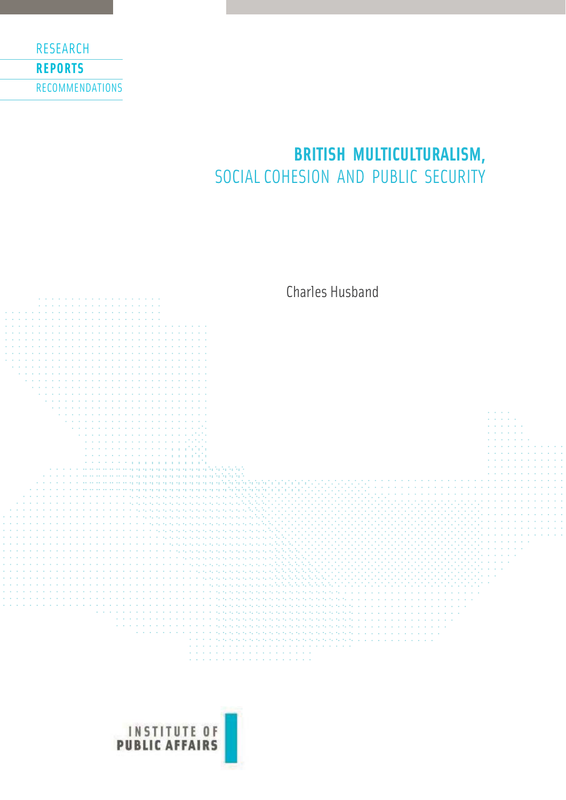

# **BRITISH MULTICULTURALISM,**  SOCIAL COHESION AND PUBLIC SECURITY



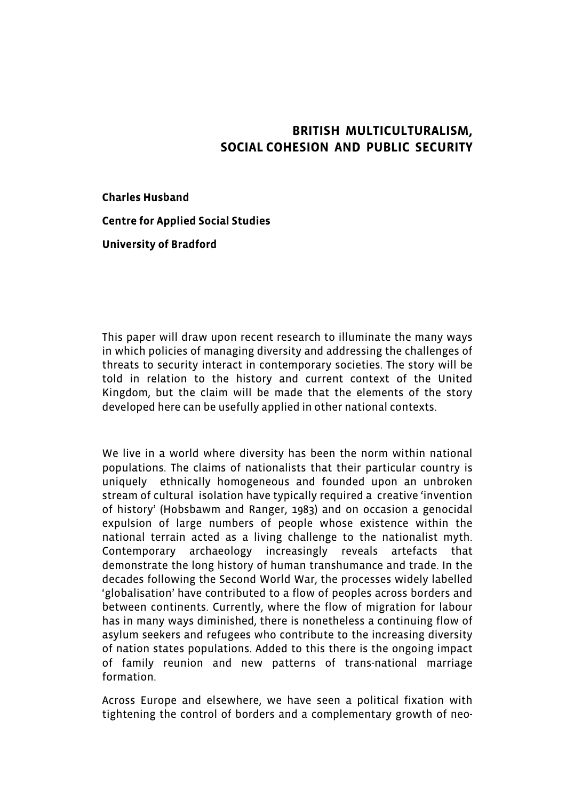## **BRITISH MULTICULTURALISM, SOCIAL COHESION AND PUBLIC SECURITY**

**Charles Husband**

**Centre for Applied Social Studies**

**University of Bradford**

This paper will draw upon recent research to illuminate the many ways in which policies of managing diversity and addressing the challenges of threats to security interact in contemporary societies. The story will be told in relation to the history and current context of the United Kingdom, but the claim will be made that the elements of the story developed here can be usefully applied in other national contexts.

We live in a world where diversity has been the norm within national populations. The claims of nationalists that their particular country is uniquely ethnically homogeneous and founded upon an unbroken stream of cultural isolation have typically required a creative 'invention of history' (Hobsbawm and Ranger, 1983) and on occasion a genocidal expulsion of large numbers of people whose existence within the national terrain acted as a living challenge to the nationalist myth. Contemporary archaeology increasingly reveals artefacts that demonstrate the long history of human transhumance and trade. In the decades following the Second World War, the processes widely labelled 'globalisation' have contributed to a flow of peoples across borders and between continents. Currently, where the flow of migration for labour has in many ways diminished, there is nonetheless a continuing flow of asylum seekers and refugees who contribute to the increasing diversity of nation states populations. Added to this there is the ongoing impact of family reunion and new patterns of trans-national marriage formation.

Across Europe and elsewhere, we have seen a political fixation with tightening the control of borders and a complementary growth of neo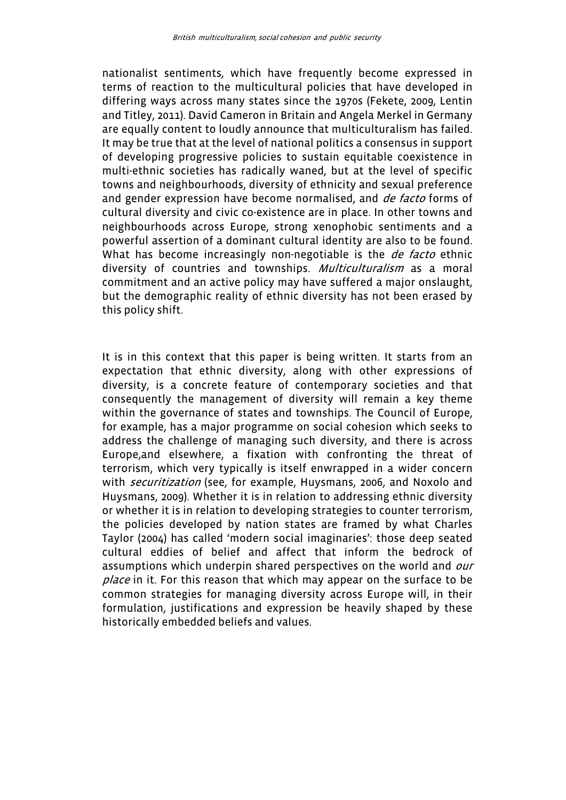nationalist sentiments, which have frequently become expressed in terms of reaction to the multicultural policies that have developed in differing ways across many states since the 1970s (Fekete, 2009, Lentin and Titley, 2011). David Cameron in Britain and Angela Merkel in Germany are equally content to loudly announce that multiculturalism has failed. It may be true that at the level of national politics a consensus in support of developing progressive policies to sustain equitable coexistence in multi-ethnic societies has radically waned, but at the level of specific towns and neighbourhoods, diversity of ethnicity and sexual preference and gender expression have become normalised, and *de facto* forms of cultural diversity and civic co-existence are in place. In other towns and neighbourhoods across Europe, strong xenophobic sentiments and a powerful assertion of a dominant cultural identity are also to be found. What has become increasingly non-negotiable is the *de facto* ethnic diversity of countries and townships. *Multiculturalism* as a moral commitment and an active policy may have suffered a major onslaught, but the demographic reality of ethnic diversity has not been erased by this policy shift.

It is in this context that this paper is being written. It starts from an expectation that ethnic diversity, along with other expressions of diversity, is a concrete feature of contemporary societies and that consequently the management of diversity will remain a key theme within the governance of states and townships. The Council of Europe, for example, has a major programme on social cohesion which seeks to address the challenge of managing such diversity, and there is across Europe,and elsewhere, a fixation with confronting the threat of terrorism, which very typically is itself enwrapped in a wider concern with *securitization* (see, for example, Huysmans, 2006, and Noxolo and Huysmans, 2009). Whether it is in relation to addressing ethnic diversity or whether it is in relation to developing strategies to counter terrorism, the policies developed by nation states are framed by what Charles Taylor (2004) has called 'modern social imaginaries': those deep seated cultural eddies of belief and affect that inform the bedrock of assumptions which underpin shared perspectives on the world and our place in it. For this reason that which may appear on the surface to be common strategies for managing diversity across Europe will, in their formulation, justifications and expression be heavily shaped by these historically embedded beliefs and values.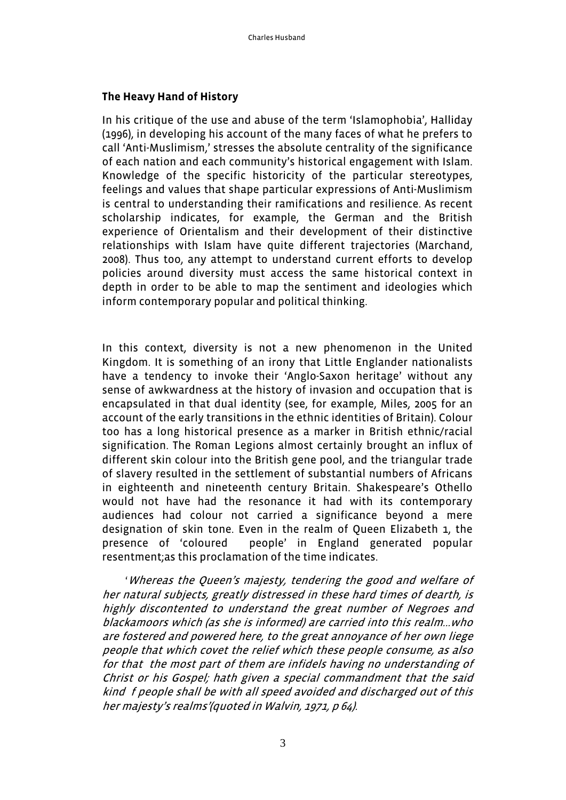## **The Heavy Hand of History**

In his critique of the use and abuse of the term 'Islamophobia', Halliday (1996), in developing his account of the many faces of what he prefers to call 'Anti-Muslimism,' stresses the absolute centrality of the significance of each nation and each community's historical engagement with Islam. Knowledge of the specific historicity of the particular stereotypes, feelings and values that shape particular expressions of Anti-Muslimism is central to understanding their ramifications and resilience. As recent scholarship indicates, for example, the German and the British experience of Orientalism and their development of their distinctive relationships with Islam have quite different trajectories (Marchand, 2008). Thus too, any attempt to understand current efforts to develop policies around diversity must access the same historical context in depth in order to be able to map the sentiment and ideologies which inform contemporary popular and political thinking.

In this context, diversity is not a new phenomenon in the United Kingdom. It is something of an irony that Little Englander nationalists have a tendency to invoke their 'Anglo-Saxon heritage' without any sense of awkwardness at the history of invasion and occupation that is encapsulated in that dual identity (see, for example, Miles, 2005 for an account of the early transitions in the ethnic identities of Britain). Colour too has a long historical presence as a marker in British ethnic/racial signification. The Roman Legions almost certainly brought an influx of different skin colour into the British gene pool, and the triangular trade of slavery resulted in the settlement of substantial numbers of Africans in eighteenth and nineteenth century Britain. Shakespeare's Othello would not have had the resonance it had with its contemporary audiences had colour not carried a significance beyond a mere designation of skin tone. Even in the realm of Queen Elizabeth 1, the presence of 'coloured people' in England generated popular resentment;as this proclamation of the time indicates.

 'Whereas the Queen's majesty, tendering the good and welfare of her natural subjects, greatly distressed in these hard times of dearth, is highly discontented to understand the great number of Negroes and blackamoors which (as she is informed) are carried into this realm...who are fostered and powered here, to the great annoyance of her own liege people that which covet the relief which these people consume, as also for that the most part of them are infidels having no understanding of Christ or his Gospel; hath given a special commandment that the said kind f people shall be with all speed avoided and discharged out of this her majesty's realms'(quoted in Walvin, 1971, p 64).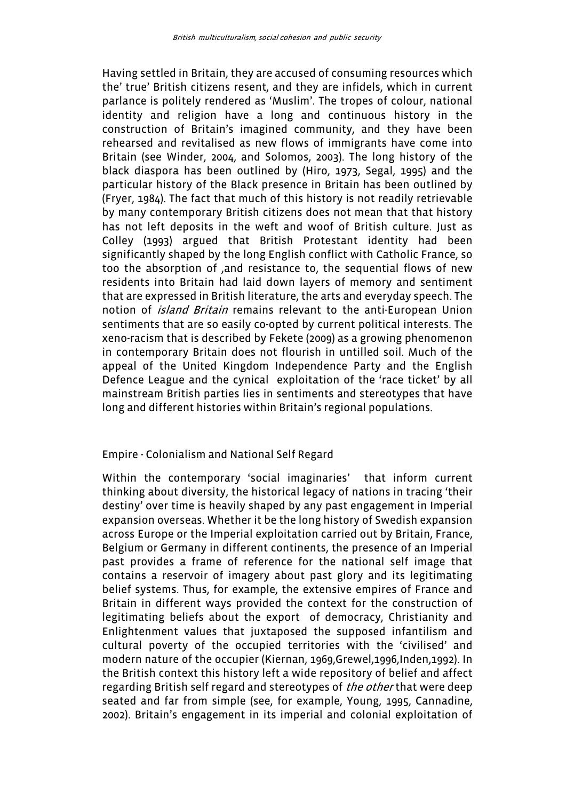Having settled in Britain, they are accused of consuming resources which the' true' British citizens resent, and they are infidels, which in current parlance is politely rendered as 'Muslim'. The tropes of colour, national identity and religion have a long and continuous history in the construction of Britain's imagined community, and they have been rehearsed and revitalised as new flows of immigrants have come into Britain (see Winder, 2004, and Solomos, 2003). The long history of the black diaspora has been outlined by (Hiro, 1973, Segal, 1995) and the particular history of the Black presence in Britain has been outlined by (Fryer, 1984). The fact that much of this history is not readily retrievable by many contemporary British citizens does not mean that that history has not left deposits in the weft and woof of British culture. Just as Colley (1993) argued that British Protestant identity had been significantly shaped by the long English conflict with Catholic France, so too the absorption of ,and resistance to, the sequential flows of new residents into Britain had laid down layers of memory and sentiment that are expressed in British literature, the arts and everyday speech. The notion of *island Britain* remains relevant to the anti-European Union sentiments that are so easily co-opted by current political interests. The xeno-racism that is described by Fekete (2009) as a growing phenomenon in contemporary Britain does not flourish in untilled soil. Much of the appeal of the United Kingdom Independence Party and the English Defence League and the cynical exploitation of the 'race ticket' by all mainstream British parties lies in sentiments and stereotypes that have long and different histories within Britain's regional populations.

### Empire - Colonialism and National Self Regard

Within the contemporary 'social imaginaries' that inform current thinking about diversity, the historical legacy of nations in tracing 'their destiny' over time is heavily shaped by any past engagement in Imperial expansion overseas. Whether it be the long history of Swedish expansion across Europe or the Imperial exploitation carried out by Britain, France, Belgium or Germany in different continents, the presence of an Imperial past provides a frame of reference for the national self image that contains a reservoir of imagery about past glory and its legitimating belief systems. Thus, for example, the extensive empires of France and Britain in different ways provided the context for the construction of legitimating beliefs about the export of democracy, Christianity and Enlightenment values that juxtaposed the supposed infantilism and cultural poverty of the occupied territories with the 'civilised' and modern nature of the occupier (Kiernan, 1969,Grewel,1996,Inden,1992). In the British context this history left a wide repository of belief and affect regarding British self regard and stereotypes of the other that were deep seated and far from simple (see, for example, Young, 1995, Cannadine, 2002). Britain's engagement in its imperial and colonial exploitation of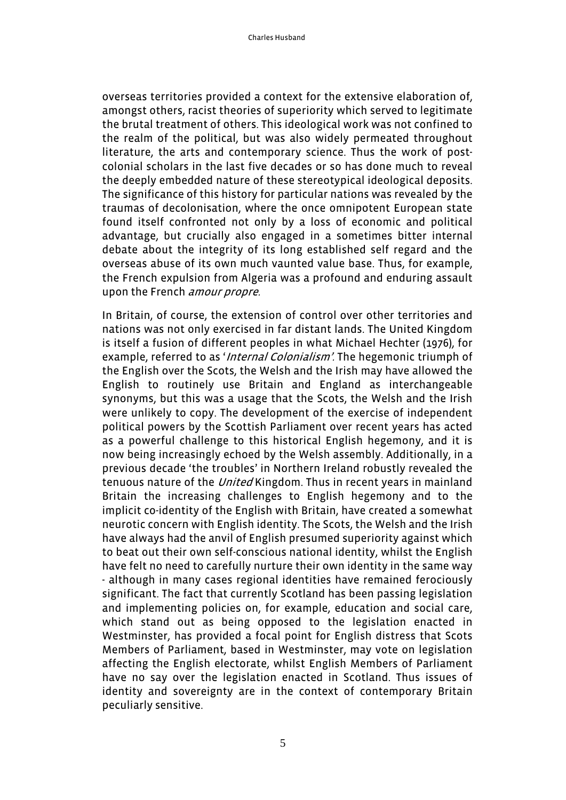overseas territories provided a context for the extensive elaboration of, amongst others, racist theories of superiority which served to legitimate the brutal treatment of others. This ideological work was not confined to the realm of the political, but was also widely permeated throughout literature, the arts and contemporary science. Thus the work of postcolonial scholars in the last five decades or so has done much to reveal the deeply embedded nature of these stereotypical ideological deposits. The significance of this history for particular nations was revealed by the traumas of decolonisation, where the once omnipotent European state found itself confronted not only by a loss of economic and political advantage, but crucially also engaged in a sometimes bitter internal debate about the integrity of its long established self regard and the overseas abuse of its own much vaunted value base. Thus, for example, the French expulsion from Algeria was a profound and enduring assault upon the French *amour propre.* 

In Britain, of course, the extension of control over other territories and nations was not only exercised in far distant lands. The United Kingdom is itself a fusion of different peoples in what Michael Hechter (1976), for example, referred to as 'Internal Colonialism'. The hegemonic triumph of the English over the Scots, the Welsh and the Irish may have allowed the English to routinely use Britain and England as interchangeable synonyms, but this was a usage that the Scots, the Welsh and the Irish were unlikely to copy. The development of the exercise of independent political powers by the Scottish Parliament over recent years has acted as a powerful challenge to this historical English hegemony, and it is now being increasingly echoed by the Welsh assembly. Additionally, in a previous decade 'the troubles' in Northern Ireland robustly revealed the tenuous nature of the *United* Kingdom. Thus in recent years in mainland Britain the increasing challenges to English hegemony and to the implicit co-identity of the English with Britain, have created a somewhat neurotic concern with English identity. The Scots, the Welsh and the Irish have always had the anvil of English presumed superiority against which to beat out their own self-conscious national identity, whilst the English have felt no need to carefully nurture their own identity in the same way - although in many cases regional identities have remained ferociously significant. The fact that currently Scotland has been passing legislation and implementing policies on, for example, education and social care, which stand out as being opposed to the legislation enacted in Westminster, has provided a focal point for English distress that Scots Members of Parliament, based in Westminster, may vote on legislation affecting the English electorate, whilst English Members of Parliament have no say over the legislation enacted in Scotland. Thus issues of identity and sovereignty are in the context of contemporary Britain peculiarly sensitive.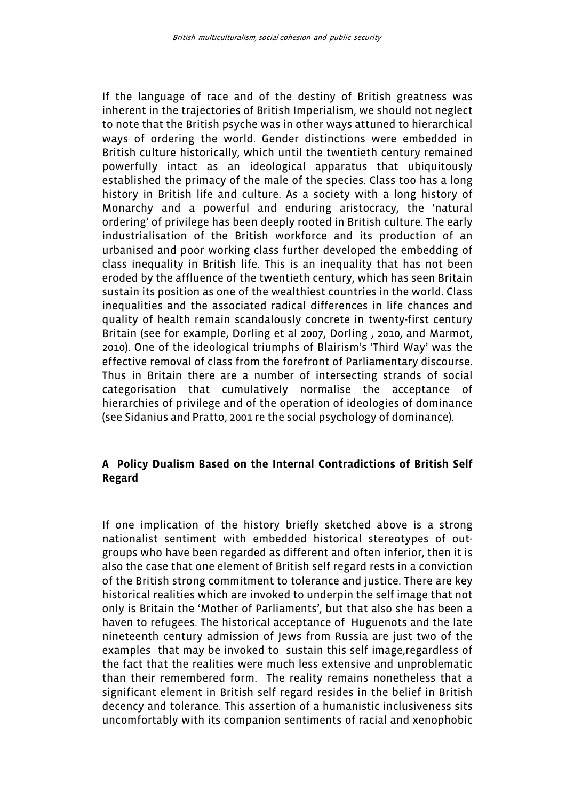If the language of race and of the destiny of British greatness was inherent in the trajectories of British Imperialism, we should not neglect to note that the British psyche was in other ways attuned to hierarchical ways of ordering the world. Gender distinctions were embedded in British culture historically, which until the twentieth century remained powerfully intact as an ideological apparatus that ubiquitously established the primacy of the male of the species. Class too has a long history in British life and culture. As a society with a long history of Monarchy and a powerful and enduring aristocracy, the 'natural ordering' of privilege has been deeply rooted in British culture. The early industrialisation of the British workforce and its production of an urbanised and poor working class further developed the embedding of class inequality in British life. This is an inequality that has not been eroded by the affluence of the twentieth century, which has seen Britain sustain its position as one of the wealthiest countries in the world. Class inequalities and the associated radical differences in life chances and quality of health remain scandalously concrete in twenty-first century Britain (see for example, Dorling et al 2007, Dorling , 2010, and Marmot, 2010). One of the ideological triumphs of Blairism's 'Third Way' was the effective removal of class from the forefront of Parliamentary discourse. Thus in Britain there are a number of intersecting strands of social categorisation that cumulatively normalise the acceptance of hierarchies of privilege and of the operation of ideologies of dominance (see Sidanius and Pratto, 2001 re the social psychology of dominance).

#### **A Policy Dualism Based on the Internal Contradictions of British Self Regard**

If one implication of the history briefly sketched above is a strong nationalist sentiment with embedded historical stereotypes of outgroups who have been regarded as different and often inferior, then it is also the case that one element of British self regard rests in a conviction of the British strong commitment to tolerance and justice. There are key historical realities which are invoked to underpin the self image that not only is Britain the 'Mother of Parliaments', but that also she has been a haven to refugees. The historical acceptance of Huguenots and the late nineteenth century admission of Jews from Russia are just two of the examples that may be invoked to sustain this self image,regardless of the fact that the realities were much less extensive and unproblematic than their remembered form. The reality remains nonetheless that a significant element in British self regard resides in the belief in British decency and tolerance. This assertion of a humanistic inclusiveness sits uncomfortably with its companion sentiments of racial and xenophobic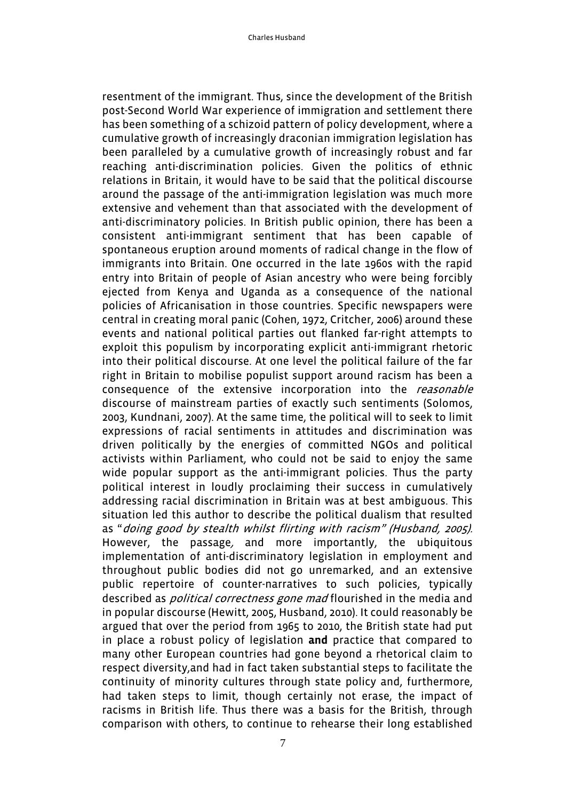resentment of the immigrant. Thus, since the development of the British post-Second World War experience of immigration and settlement there has been something of a schizoid pattern of policy development, where a cumulative growth of increasingly draconian immigration legislation has been paralleled by a cumulative growth of increasingly robust and far reaching anti-discrimination policies. Given the politics of ethnic relations in Britain, it would have to be said that the political discourse around the passage of the anti-immigration legislation was much more extensive and vehement than that associated with the development of anti-discriminatory policies. In British public opinion, there has been a consistent anti-immigrant sentiment that has been capable of spontaneous eruption around moments of radical change in the flow of immigrants into Britain. One occurred in the late 1960s with the rapid entry into Britain of people of Asian ancestry who were being forcibly ejected from Kenya and Uganda as a consequence of the national policies of Africanisation in those countries. Specific newspapers were central in creating moral panic (Cohen, 1972, Critcher, 2006) around these events and national political parties out flanked far-right attempts to exploit this populism by incorporating explicit anti-immigrant rhetoric into their political discourse. At one level the political failure of the far right in Britain to mobilise populist support around racism has been a consequence of the extensive incorporation into the reasonable discourse of mainstream parties of exactly such sentiments (Solomos, 2003, Kundnani, 2007). At the same time, the political will to seek to limit expressions of racial sentiments in attitudes and discrimination was driven politically by the energies of committed NGOs and political activists within Parliament, who could not be said to enjoy the same wide popular support as the anti-immigrant policies. Thus the party political interest in loudly proclaiming their success in cumulatively addressing racial discrimination in Britain was at best ambiguous. This situation led this author to describe the political dualism that resulted as "doing good by stealth whilst flirting with racism" (Husband, 2005). However, the passage, and more importantly, the ubiquitous implementation of anti-discriminatory legislation in employment and throughout public bodies did not go unremarked, and an extensive public repertoire of counter-narratives to such policies, typically described as *political correctness gone mad* flourished in the media and in popular discourse (Hewitt, 2005, Husband, 2010). It could reasonably be argued that over the period from 1965 to 2010, the British state had put in place a robust policy of legislation **and** practice that compared to many other European countries had gone beyond a rhetorical claim to respect diversity,and had in fact taken substantial steps to facilitate the continuity of minority cultures through state policy and, furthermore, had taken steps to limit, though certainly not erase, the impact of racisms in British life. Thus there was a basis for the British, through comparison with others, to continue to rehearse their long established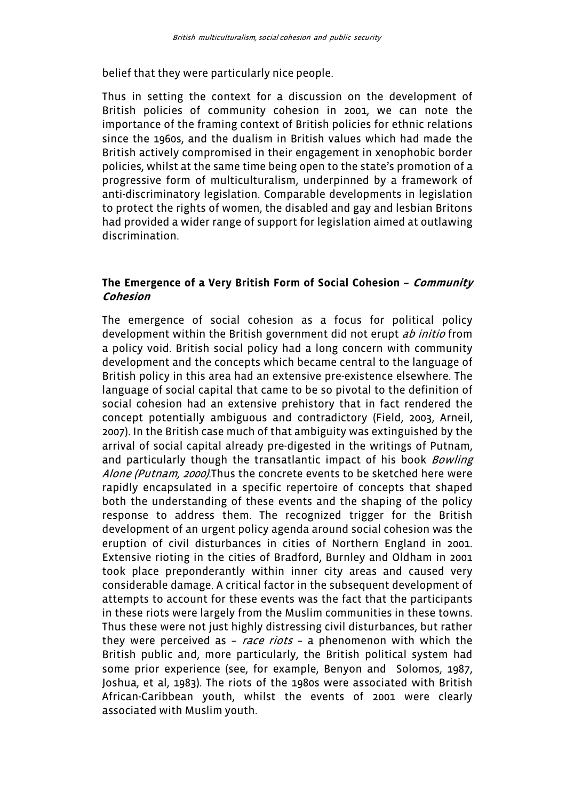belief that they were particularly nice people.

Thus in setting the context for a discussion on the development of British policies of community cohesion in 2001, we can note the importance of the framing context of British policies for ethnic relations since the 1960s, and the dualism in British values which had made the British actively compromised in their engagement in xenophobic border policies, whilst at the same time being open to the state's promotion of a progressive form of multiculturalism, underpinned by a framework of anti-discriminatory legislation. Comparable developments in legislation to protect the rights of women, the disabled and gay and lesbian Britons had provided a wider range of support for legislation aimed at outlawing discrimination.

#### **The Emergence of a Very British Form of Social Cohesion – Community Cohesion**

The emergence of social cohesion as a focus for political policy development within the British government did not erupt ab initio from a policy void. British social policy had a long concern with community development and the concepts which became central to the language of British policy in this area had an extensive pre-existence elsewhere. The language of social capital that came to be so pivotal to the definition of social cohesion had an extensive prehistory that in fact rendered the concept potentially ambiguous and contradictory (Field, 2003, Arneil, 2007). In the British case much of that ambiguity was extinguished by the arrival of social capital already pre-digested in the writings of Putnam, and particularly though the transatlantic impact of his book *Bowling* Alone (Putnam, 2000). Thus the concrete events to be sketched here were rapidly encapsulated in a specific repertoire of concepts that shaped both the understanding of these events and the shaping of the policy response to address them. The recognized trigger for the British development of an urgent policy agenda around social cohesion was the eruption of civil disturbances in cities of Northern England in 2001. Extensive rioting in the cities of Bradford, Burnley and Oldham in 2001 took place preponderantly within inner city areas and caused very considerable damage. A critical factor in the subsequent development of attempts to account for these events was the fact that the participants in these riots were largely from the Muslim communities in these towns. Thus these were not just highly distressing civil disturbances, but rather they were perceived as  $-$  race riots  $-$  a phenomenon with which the British public and, more particularly, the British political system had some prior experience (see, for example, Benyon and Solomos, 1987, Joshua, et al, 1983). The riots of the 1980s were associated with British African-Caribbean youth, whilst the events of 2001 were clearly associated with Muslim youth.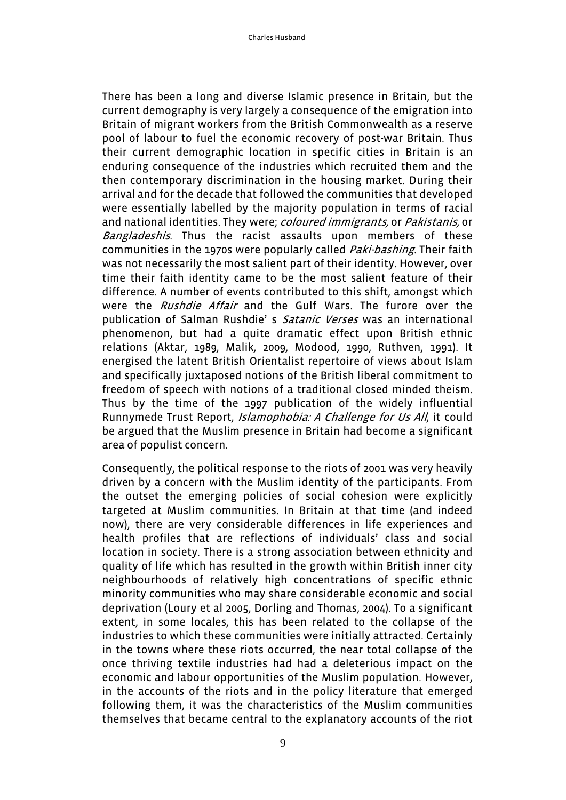There has been a long and diverse Islamic presence in Britain, but the current demography is very largely a consequence of the emigration into Britain of migrant workers from the British Commonwealth as a reserve pool of labour to fuel the economic recovery of post-war Britain. Thus their current demographic location in specific cities in Britain is an enduring consequence of the industries which recruited them and the then contemporary discrimination in the housing market. During their arrival and for the decade that followed the communities that developed were essentially labelled by the majority population in terms of racial and national identities. They were; *coloured immigrants*, or *Pakistanis*, or Bangladeshis. Thus the racist assaults upon members of these communities in the 1970s were popularly called *Paki-bashing*. Their faith was not necessarily the most salient part of their identity. However, over time their faith identity came to be the most salient feature of their difference. A number of events contributed to this shift, amongst which were the Rushdie Affair and the Gulf Wars. The furore over the publication of Salman Rushdie's Satanic Verses was an international phenomenon, but had a quite dramatic effect upon British ethnic relations (Aktar, 1989, Malik, 2009, Modood, 1990, Ruthven, 1991). It energised the latent British Orientalist repertoire of views about Islam and specifically juxtaposed notions of the British liberal commitment to freedom of speech with notions of a traditional closed minded theism. Thus by the time of the 1997 publication of the widely influential Runnymede Trust Report, *Islamophobia: A Challenge for Us All*, it could be argued that the Muslim presence in Britain had become a significant area of populist concern.

Consequently, the political response to the riots of 2001 was very heavily driven by a concern with the Muslim identity of the participants. From the outset the emerging policies of social cohesion were explicitly targeted at Muslim communities. In Britain at that time (and indeed now), there are very considerable differences in life experiences and health profiles that are reflections of individuals' class and social location in society. There is a strong association between ethnicity and quality of life which has resulted in the growth within British inner city neighbourhoods of relatively high concentrations of specific ethnic minority communities who may share considerable economic and social deprivation (Loury et al 2005, Dorling and Thomas, 2004). To a significant extent, in some locales, this has been related to the collapse of the industries to which these communities were initially attracted. Certainly in the towns where these riots occurred, the near total collapse of the once thriving textile industries had had a deleterious impact on the economic and labour opportunities of the Muslim population. However, in the accounts of the riots and in the policy literature that emerged following them, it was the characteristics of the Muslim communities themselves that became central to the explanatory accounts of the riot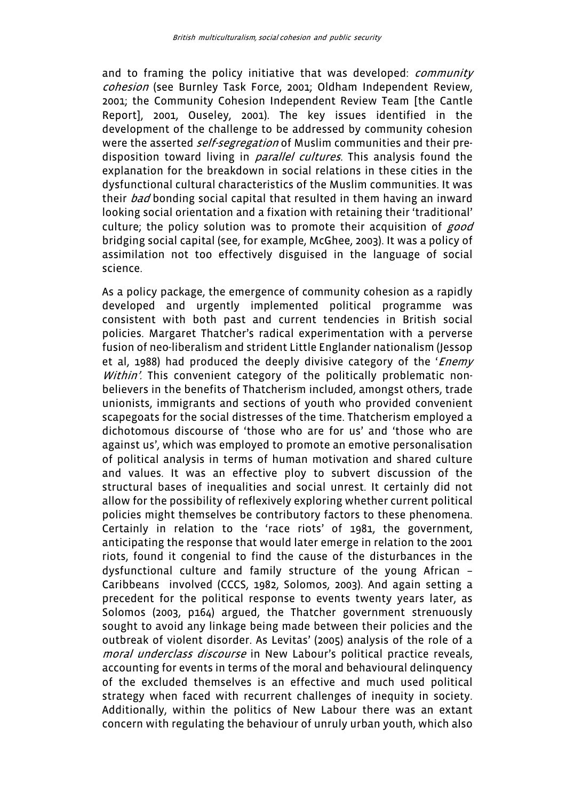and to framing the policy initiative that was developed: *community* cohesion (see Burnley Task Force, 2001; Oldham Independent Review, 2001; the Community Cohesion Independent Review Team [the Cantle Report], 2001, Ouseley, 2001). The key issues identified in the development of the challenge to be addressed by community cohesion were the asserted *self-segregation* of Muslim communities and their predisposition toward living in *parallel cultures*. This analysis found the explanation for the breakdown in social relations in these cities in the dysfunctional cultural characteristics of the Muslim communities. It was their bad bonding social capital that resulted in them having an inward looking social orientation and a fixation with retaining their 'traditional' culture; the policy solution was to promote their acquisition of good bridging social capital (see, for example, McGhee, 2003). It was a policy of assimilation not too effectively disguised in the language of social science.

As a policy package, the emergence of community cohesion as a rapidly developed and urgently implemented political programme was consistent with both past and current tendencies in British social policies. Margaret Thatcher's radical experimentation with a perverse fusion of neo-liberalism and strident Little Englander nationalism (Jessop et al, 1988) had produced the deeply divisive category of the '*Enemy* Within'. This convenient category of the politically problematic nonbelievers in the benefits of Thatcherism included, amongst others, trade unionists, immigrants and sections of youth who provided convenient scapegoats for the social distresses of the time. Thatcherism employed a dichotomous discourse of 'those who are for us' and 'those who are against us', which was employed to promote an emotive personalisation of political analysis in terms of human motivation and shared culture and values. It was an effective ploy to subvert discussion of the structural bases of inequalities and social unrest. It certainly did not allow for the possibility of reflexively exploring whether current political policies might themselves be contributory factors to these phenomena. Certainly in relation to the 'race riots' of 1981, the government, anticipating the response that would later emerge in relation to the 2001 riots, found it congenial to find the cause of the disturbances in the dysfunctional culture and family structure of the young African – Caribbeans involved (CCCS, 1982, Solomos, 2003). And again setting a precedent for the political response to events twenty years later, as Solomos (2003, p164) argued, the Thatcher government strenuously sought to avoid any linkage being made between their policies and the outbreak of violent disorder. As Levitas' (2005) analysis of the role of a moral underclass discourse in New Labour's political practice reveals, accounting for events in terms of the moral and behavioural delinquency of the excluded themselves is an effective and much used political strategy when faced with recurrent challenges of inequity in society. Additionally, within the politics of New Labour there was an extant concern with regulating the behaviour of unruly urban youth, which also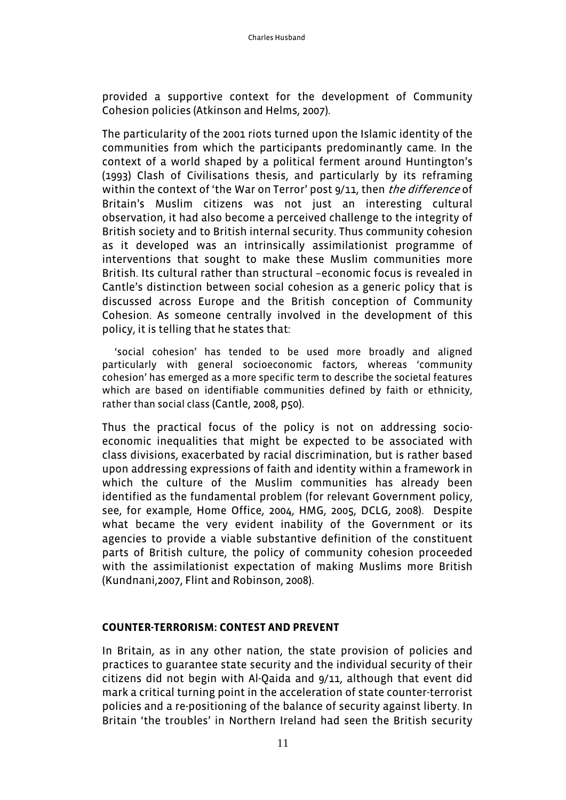provided a supportive context for the development of Community Cohesion policies (Atkinson and Helms, 2007).

The particularity of the 2001 riots turned upon the Islamic identity of the communities from which the participants predominantly came. In the context of a world shaped by a political ferment around Huntington's (1993) Clash of Civilisations thesis, and particularly by its reframing within the context of 'the War on Terror' post 9/11, then *the difference* of Britain's Muslim citizens was not just an interesting cultural observation, it had also become a perceived challenge to the integrity of British society and to British internal security. Thus community cohesion as it developed was an intrinsically assimilationist programme of interventions that sought to make these Muslim communities more British. Its cultural rather than structural –economic focus is revealed in Cantle's distinction between social cohesion as a generic policy that is discussed across Europe and the British conception of Community Cohesion. As someone centrally involved in the development of this policy, it is telling that he states that:

 'social cohesion' has tended to be used more broadly and aligned particularly with general socioeconomic factors, whereas 'community cohesion' has emerged as a more specific term to describe the societal features which are based on identifiable communities defined by faith or ethnicity, rather than social class (Cantle, 2008, p50).

Thus the practical focus of the policy is not on addressing socioeconomic inequalities that might be expected to be associated with class divisions, exacerbated by racial discrimination, but is rather based upon addressing expressions of faith and identity within a framework in which the culture of the Muslim communities has already been identified as the fundamental problem (for relevant Government policy, see, for example, Home Office, 2004, HMG, 2005, DCLG, 2008). Despite what became the very evident inability of the Government or its agencies to provide a viable substantive definition of the constituent parts of British culture, the policy of community cohesion proceeded with the assimilationist expectation of making Muslims more British (Kundnani,2007, Flint and Robinson, 2008).

## **COUNTER-TERRORISM: CONTEST AND PREVENT**

In Britain, as in any other nation, the state provision of policies and practices to guarantee state security and the individual security of their citizens did not begin with Al-Qaida and 9/11, although that event did mark a critical turning point in the acceleration of state counter-terrorist policies and a re-positioning of the balance of security against liberty. In Britain 'the troubles' in Northern Ireland had seen the British security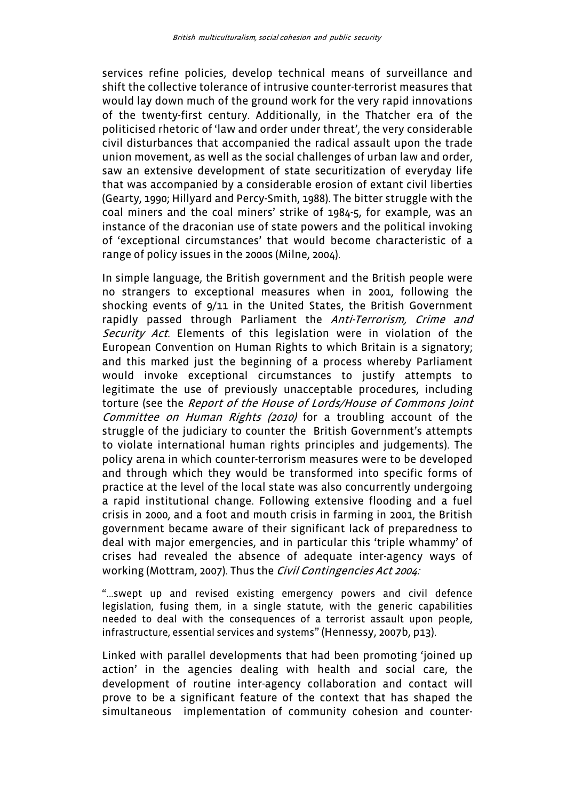services refine policies, develop technical means of surveillance and shift the collective tolerance of intrusive counter-terrorist measures that would lay down much of the ground work for the very rapid innovations of the twenty-first century. Additionally, in the Thatcher era of the politicised rhetoric of 'law and order under threat', the very considerable civil disturbances that accompanied the radical assault upon the trade union movement, as well as the social challenges of urban law and order, saw an extensive development of state securitization of everyday life that was accompanied by a considerable erosion of extant civil liberties (Gearty, 1990; Hillyard and Percy-Smith, 1988). The bitter struggle with the coal miners and the coal miners' strike of 1984-5, for example, was an instance of the draconian use of state powers and the political invoking of 'exceptional circumstances' that would become characteristic of a range of policy issues in the 2000s (Milne, 2004).

In simple language, the British government and the British people were no strangers to exceptional measures when in 2001, following the shocking events of 9/11 in the United States, the British Government rapidly passed through Parliament the Anti-Terrorism, Crime and Security Act. Elements of this legislation were in violation of the European Convention on Human Rights to which Britain is a signatory; and this marked just the beginning of a process whereby Parliament would invoke exceptional circumstances to justify attempts to legitimate the use of previously unacceptable procedures, including torture (see the Report of the House of Lords/House of Commons Joint Committee on Human Rights (2010) for a troubling account of the struggle of the judiciary to counter the British Government's attempts to violate international human rights principles and judgements). The policy arena in which counter-terrorism measures were to be developed and through which they would be transformed into specific forms of practice at the level of the local state was also concurrently undergoing a rapid institutional change. Following extensive flooding and a fuel crisis in 2000, and a foot and mouth crisis in farming in 2001, the British government became aware of their significant lack of preparedness to deal with major emergencies, and in particular this 'triple whammy' of crises had revealed the absence of adequate inter-agency ways of working (Mottram, 2007). Thus the Civil Contingencies Act 2004:

"...swept up and revised existing emergency powers and civil defence legislation, fusing them, in a single statute, with the generic capabilities needed to deal with the consequences of a terrorist assault upon people, infrastructure, essential services and systems" (Hennessy, 2007b, p13).

Linked with parallel developments that had been promoting 'joined up action' in the agencies dealing with health and social care, the development of routine inter-agency collaboration and contact will prove to be a significant feature of the context that has shaped the simultaneous implementation of community cohesion and counter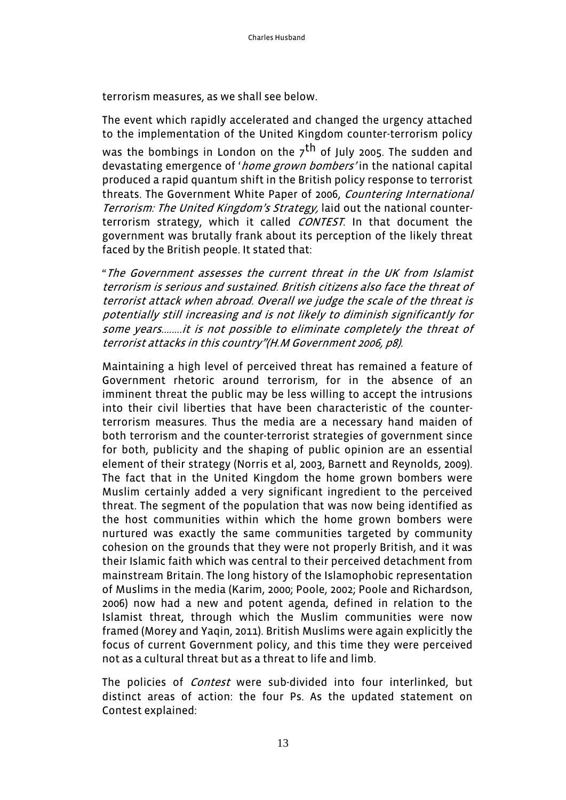terrorism measures, as we shall see below.

The event which rapidly accelerated and changed the urgency attached to the implementation of the United Kingdom counter-terrorism policy was the bombings in London on the  $7<sup>th</sup>$  of July 2005. The sudden and devastating emergence of 'home grown bombers' in the national capital produced a rapid quantum shift in the British policy response to terrorist threats. The Government White Paper of 2006, Countering International Terrorism: The United Kingdom's Strategy, laid out the national counterterrorism strategy, which it called *CONTEST*. In that document the government was brutally frank about its perception of the likely threat faced by the British people. It stated that:

"The Government assesses the current threat in the UK from Islamist terrorism is serious and sustained. British citizens also face the threat of terrorist attack when abroad. Overall we judge the scale of the threat is potentially still increasing and is not likely to diminish significantly for some years........it is not possible to eliminate completely the threat of terrorist attacks in this country"(H.M Government 2006, p8).

Maintaining a high level of perceived threat has remained a feature of Government rhetoric around terrorism, for in the absence of an imminent threat the public may be less willing to accept the intrusions into their civil liberties that have been characteristic of the counterterrorism measures. Thus the media are a necessary hand maiden of both terrorism and the counter-terrorist strategies of government since for both, publicity and the shaping of public opinion are an essential element of their strategy (Norris et al, 2003, Barnett and Reynolds, 2009). The fact that in the United Kingdom the home grown bombers were Muslim certainly added a very significant ingredient to the perceived threat. The segment of the population that was now being identified as the host communities within which the home grown bombers were nurtured was exactly the same communities targeted by community cohesion on the grounds that they were not properly British, and it was their Islamic faith which was central to their perceived detachment from mainstream Britain. The long history of the Islamophobic representation of Muslims in the media (Karim, 2000; Poole, 2002; Poole and Richardson, 2006) now had a new and potent agenda, defined in relation to the Islamist threat, through which the Muslim communities were now framed (Morey and Yaqin, 2011). British Muslims were again explicitly the focus of current Government policy, and this time they were perceived not as a cultural threat but as a threat to life and limb.

The policies of *Contest* were sub-divided into four interlinked, but distinct areas of action: the four Ps. As the updated statement on Contest explained: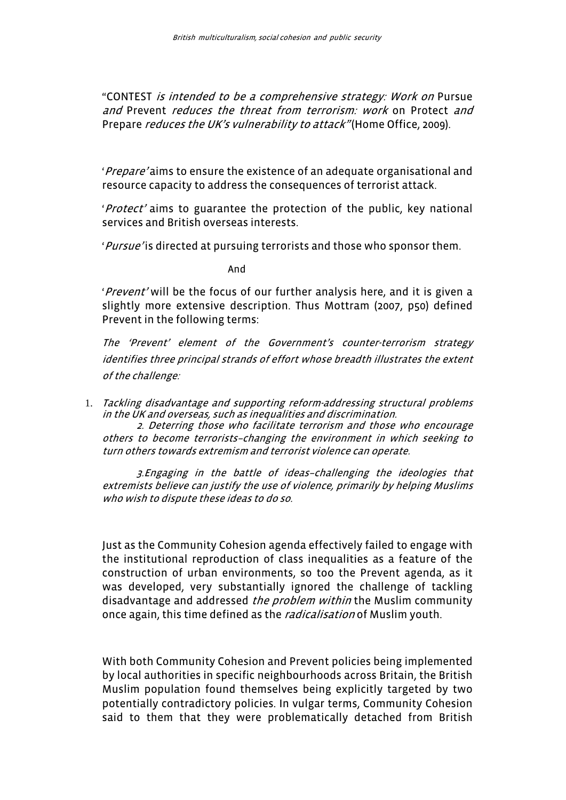"CONTEST is intended to be a comprehensive strategy: Work on Pursue and Prevent reduces the threat from terrorism: work on Protect and Prepare *reduces the UK's vulnerability to attack*" (Home Office, 2009).

'Prepare' aims to ensure the existence of an adequate organisational and resource capacity to address the consequences of terrorist attack.

'Protect' aims to guarantee the protection of the public, key national services and British overseas interests.

'Pursue' is directed at pursuing terrorists and those who sponsor them.

And

'Prevent' will be the focus of our further analysis here, and it is given a slightly more extensive description. Thus Mottram (2007, p50) defined Prevent in the following terms:

The 'Prevent' element of the Government's counter-terrorism strategy identifies three principal strands of effort whose breadth illustrates the extent of the challenge:

1. Tackling disadvantage and supporting reform-addressing structural problems in the UK and overseas, such as inequalities and discrimination.

2. Deterring those who facilitate terrorism and those who encourage others to become terrorists–changing the environment in which seeking to turn others towards extremism and terrorist violence can operate.

3.Engaging in the battle of ideas–challenging the ideologies that extremists believe can justify the use of violence, primarily by helping Muslims who wish to dispute these ideas to do so.

Just as the Community Cohesion agenda effectively failed to engage with the institutional reproduction of class inequalities as a feature of the construction of urban environments, so too the Prevent agenda, as it was developed, very substantially ignored the challenge of tackling disadvantage and addressed *the problem within* the Muslim community once again, this time defined as the *radicalisation* of Muslim youth.

With both Community Cohesion and Prevent policies being implemented by local authorities in specific neighbourhoods across Britain, the British Muslim population found themselves being explicitly targeted by two potentially contradictory policies. In vulgar terms, Community Cohesion said to them that they were problematically detached from British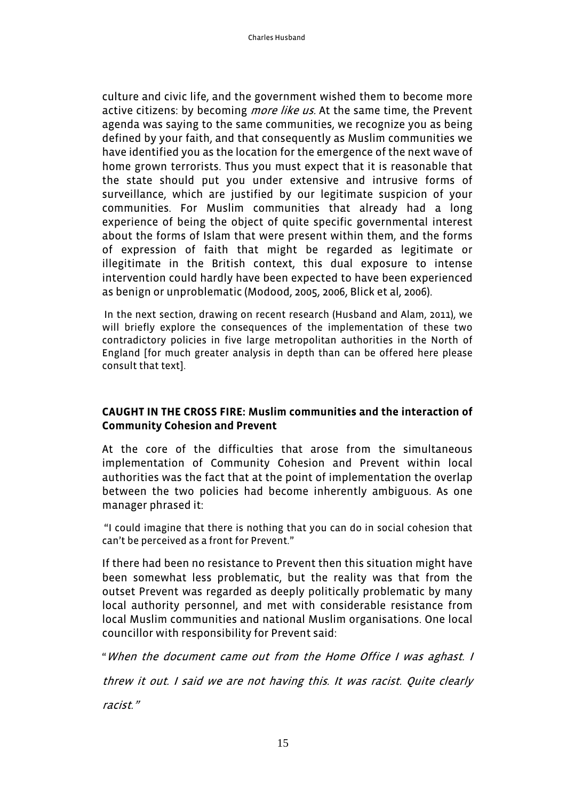culture and civic life, and the government wished them to become more active citizens: by becoming *more like us*. At the same time, the Prevent agenda was saying to the same communities, we recognize you as being defined by your faith, and that consequently as Muslim communities we have identified you as the location for the emergence of the next wave of home grown terrorists. Thus you must expect that it is reasonable that the state should put you under extensive and intrusive forms of surveillance, which are justified by our legitimate suspicion of your communities. For Muslim communities that already had a long experience of being the object of quite specific governmental interest about the forms of Islam that were present within them, and the forms of expression of faith that might be regarded as legitimate or illegitimate in the British context, this dual exposure to intense intervention could hardly have been expected to have been experienced as benign or unproblematic (Modood, 2005, 2006, Blick et al, 2006).

 In the next section, drawing on recent research (Husband and Alam, 2011), we will briefly explore the consequences of the implementation of these two contradictory policies in five large metropolitan authorities in the North of England [for much greater analysis in depth than can be offered here please consult that text].

## **CAUGHT IN THE CROSS FIRE: Muslim communities and the interaction of Community Cohesion and Prevent**

At the core of the difficulties that arose from the simultaneous implementation of Community Cohesion and Prevent within local authorities was the fact that at the point of implementation the overlap between the two policies had become inherently ambiguous. As one manager phrased it:

 "I could imagine that there is nothing that you can do in social cohesion that can't be perceived as a front for Prevent."

If there had been no resistance to Prevent then this situation might have been somewhat less problematic, but the reality was that from the outset Prevent was regarded as deeply politically problematic by many local authority personnel, and met with considerable resistance from local Muslim communities and national Muslim organisations. One local councillor with responsibility for Prevent said:

"When the document came out from the Home Office I was aghast. I

threw it out. I said we are not having this. It was racist. Quite clearly

racist."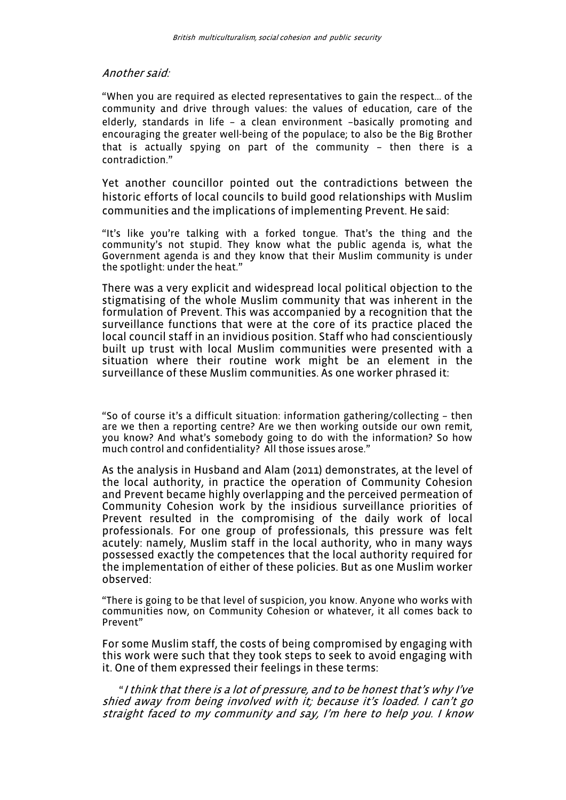#### Another said:

"When you are required as elected representatives to gain the respect… of the community and drive through values: the values of education, care of the elderly, standards in life – a clean environment –basically promoting and encouraging the greater well-being of the populace; to also be the Big Brother that is actually spying on part of the community – then there is a contradiction."

Yet another councillor pointed out the contradictions between the historic efforts of local councils to build good relationships with Muslim communities and the implications of implementing Prevent. He said:

"It's like you're talking with a forked tongue. That's the thing and the community's not stupid. They know what the public agenda is, what the Government agenda is and they know that their Muslim community is under the spotlight: under the heat."

There was a very explicit and widespread local political objection to the stigmatising of the whole Muslim community that was inherent in the formulation of Prevent. This was accompanied by a recognition that the surveillance functions that were at the core of its practice placed the local council staff in an invidious position. Staff who had conscientiously built up trust with local Muslim communities were presented with a situation where their routine work might be an element in the surveillance of these Muslim communities. As one worker phrased it:

"So of course it's a difficult situation: information gathering/collecting – then are we then a reporting centre? Are we then working outside our own remit, you know? And what's somebody going to do with the information? So how much control and confidentiality? All those issues arose."

As the analysis in Husband and Alam (2011) demonstrates, at the level of the local authority, in practice the operation of Community Cohesion and Prevent became highly overlapping and the perceived permeation of Community Cohesion work by the insidious surveillance priorities of Prevent resulted in the compromising of the daily work of local professionals. For one group of professionals, this pressure was felt acutely: namely, Muslim staff in the local authority, who in many ways possessed exactly the competences that the local authority required for the implementation of either of these policies. But as one Muslim worker observed:

"There is going to be that level of suspicion, you know. Anyone who works with communities now, on Community Cohesion or whatever, it all comes back to Prevent"

For some Muslim staff, the costs of being compromised by engaging with this work were such that they took steps to seek to avoid engaging with it. One of them expressed their feelings in these terms:

 "I think that there is a lot of pressure, and to be honest that's why I've shied away from being involved with it; because it's loaded. I can't go straight faced to my community and say, I'm here to help you. I know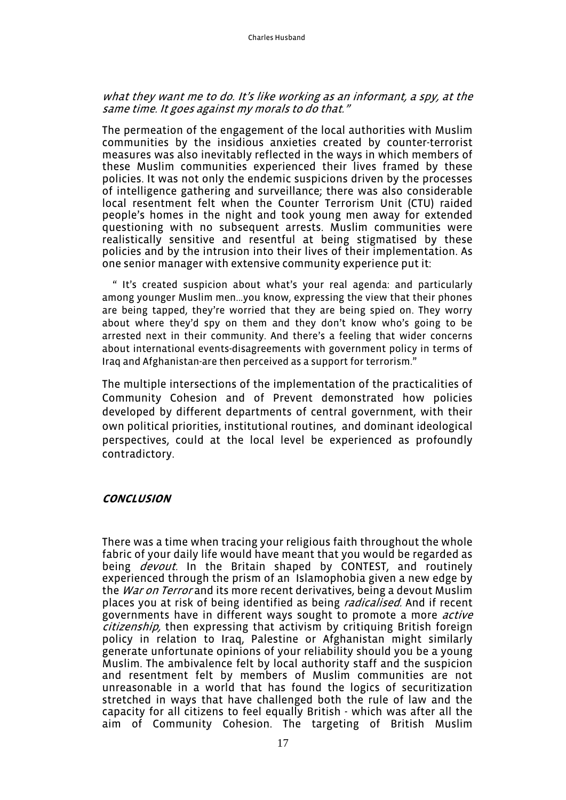#### what they want me to do. It's like working as an informant, a spy, at the same time. It goes against my morals to do that."

The permeation of the engagement of the local authorities with Muslim communities by the insidious anxieties created by counter-terrorist measures was also inevitably reflected in the ways in which members of these Muslim communities experienced their lives framed by these policies. It was not only the endemic suspicions driven by the processes of intelligence gathering and surveillance; there was also considerable local resentment felt when the Counter Terrorism Unit (CTU) raided people's homes in the night and took young men away for extended questioning with no subsequent arrests. Muslim communities were realistically sensitive and resentful at being stigmatised by these policies and by the intrusion into their lives of their implementation. As one senior manager with extensive community experience put it:

 " It's created suspicion about what's your real agenda: and particularly among younger Muslim men...you know, expressing the view that their phones are being tapped, they're worried that they are being spied on. They worry about where they'd spy on them and they don't know who's going to be arrested next in their community. And there's a feeling that wider concerns about international events-disagreements with government policy in terms of Iraq and Afghanistan-are then perceived as a support for terrorism."

The multiple intersections of the implementation of the practicalities of Community Cohesion and of Prevent demonstrated how policies developed by different departments of central government, with their own political priorities, institutional routines, and dominant ideological perspectives, could at the local level be experienced as profoundly contradictory.

#### **CONCLUSION**

There was a time when tracing your religious faith throughout the whole fabric of your daily life would have meant that you would be regarded as being *devout*. In the Britain shaped by CONTEST, and routinely experienced through the prism of an Islamophobia given a new edge by the *War on Terror* and its more recent derivatives, being a devout Muslim places you at risk of being identified as being *radicalised*. And if recent governments have in different ways sought to promote a more *active* citizenship, then expressing that activism by critiquing British foreign policy in relation to Iraq, Palestine or Afghanistan might similarly generate unfortunate opinions of your reliability should you be a young Muslim. The ambivalence felt by local authority staff and the suspicion and resentment felt by members of Muslim communities are not unreasonable in a world that has found the logics of securitization stretched in ways that have challenged both the rule of law and the capacity for all citizens to feel equally British - which was after all the aim of Community Cohesion. The targeting of British Muslim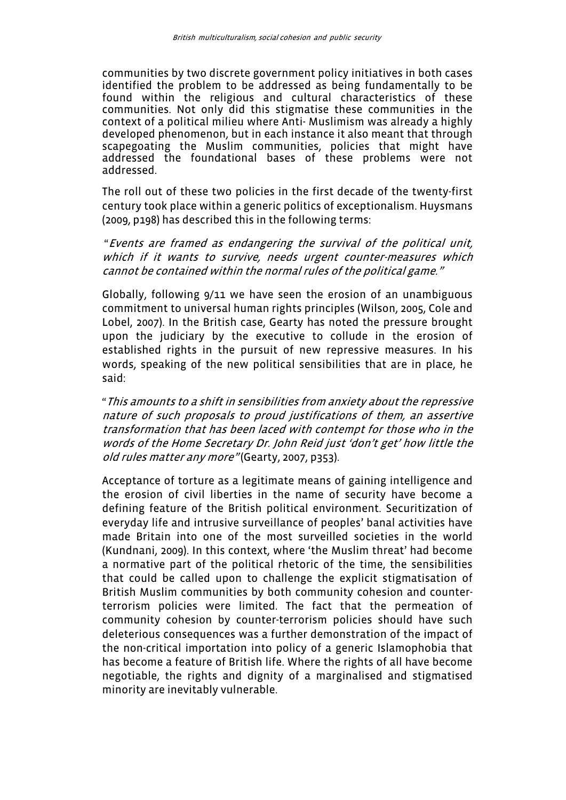communities by two discrete government policy initiatives in both cases identified the problem to be addressed as being fundamentally to be found within the religious and cultural characteristics of these communities. Not only did this stigmatise these communities in the context of a political milieu where Anti- Muslimism was already a highly developed phenomenon, but in each instance it also meant that through scapegoating the Muslim communities, policies that might have addressed the foundational bases of these problems were not addressed.

The roll out of these two policies in the first decade of the twenty-first century took place within a generic politics of exceptionalism. Huysmans (2009, p198) has described this in the following terms:

 "Events are framed as endangering the survival of the political unit, which if it wants to survive, needs urgent counter-measures which cannot be contained within the normal rules of the political game."

Globally, following 9/11 we have seen the erosion of an unambiguous commitment to universal human rights principles (Wilson, 2005, Cole and Lobel, 2007). In the British case, Gearty has noted the pressure brought upon the judiciary by the executive to collude in the erosion of established rights in the pursuit of new repressive measures. In his words, speaking of the new political sensibilities that are in place, he said:

"This amounts to a shift in sensibilities from anxiety about the repressive nature of such proposals to proud justifications of them, an assertive transformation that has been laced with contempt for those who in the words of the Home Secretary Dr. John Reid just 'don't get' how little the old rules matter any more" (Gearty, 2007, p353).

Acceptance of torture as a legitimate means of gaining intelligence and the erosion of civil liberties in the name of security have become a defining feature of the British political environment. Securitization of everyday life and intrusive surveillance of peoples' banal activities have made Britain into one of the most surveilled societies in the world (Kundnani, 2009). In this context, where 'the Muslim threat' had become a normative part of the political rhetoric of the time, the sensibilities that could be called upon to challenge the explicit stigmatisation of British Muslim communities by both community cohesion and counterterrorism policies were limited. The fact that the permeation of community cohesion by counter-terrorism policies should have such deleterious consequences was a further demonstration of the impact of the non-critical importation into policy of a generic Islamophobia that has become a feature of British life. Where the rights of all have become negotiable, the rights and dignity of a marginalised and stigmatised minority are inevitably vulnerable.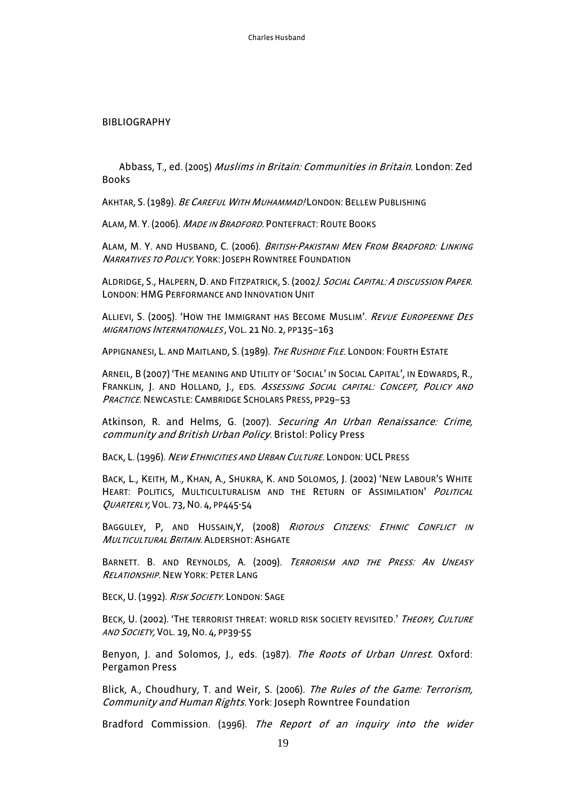#### BIBLIOGRAPHY

Abbass, T., ed. (2005) Muslims in Britain: Communities in Britain. London: Zed Books

AKHTAR, S. (1989). BE CAREFUL WITH MUHAMMAD! LONDON: BELLEW PUBLISHING

ALAM, M. Y. (2006). MADE IN BRADFORD. PONTEFRACT: ROUTE BOOKS

ALAM, M. Y. AND HUSBAND, C. (2006). BRITISH-PAKISTANI MEN FROM BRADFORD: LINKING <sup>N</sup>ARRATIVES TO POLICY. YORK: JOSEPH ROWNTREE FOUNDATION

ALDRIDGE, S., HALPERN, D. AND FITZPATRICK, S. (2002). <sup>S</sup>OCIAL CAPITAL: <sup>A</sup> DISCUSSION PAPER. LONDON:HMG PERFORMANCE AND INNOVATION UNIT

ALLIEVI, S. (2005). 'HOW THE IMMIGRANT HAS BECOME MUSLIM'. REVUE EUROPEENNE DES MIGRATIONS INTERNATIONALES , VOL. 21 NO. 2, PP135–163

APPIGNANESI, L. AND MAITLAND, S. (1989). *The Rushdie File*. London: Fourth Estate

ARNEIL, B (2007) 'THE MEANING AND UTILITY OF 'SOCIAL' IN SOCIAL CAPITAL', IN EDWARDS, R., FRANKLIN, J. AND HOLLAND, J., EDS. <sup>A</sup>SSESSING SOCIAL CAPITAL: <sup>C</sup>ONCEPT, <sup>P</sup>OLICY AND PRACTICE. NEWCASTLE: CAMBRIDGE SCHOLARS PRESS, PP29-53

Atkinson, R. and Helms, G. (2007). Securing An Urban Renaissance: Crime, community and British Urban Policy. Bristol: Policy Press

BACK, L. (1996). NEW ETHNICITIES AND URBAN CULTURE. LONDON: UCL PRESS

BACK, L., KEITH, M., KHAN, A., SHUKRA, K. AND SOLOMOS, J. (2002) 'NEW LABOUR'S WHITE HEART: POLITICS, MULTICULTURALISM AND THE RETURN OF ASSIMILATION' POLITICAL QUARTERLY, VOL. 73,NO. 4, PP445-54

BAGGULEY, P, AND HUSSAIN, Y (2008) RIOTOUS CITIZENS: ETHNIC CONFLICT IN <sup>M</sup>ULTICULTURAL BRITAIN. ALDERSHOT: ASHGATE

BARNETT. B. AND REYNOLDS, A. (2009). TERRORISM AND THE PRESS: AN UNEASY RELATIONSHIP. NEW YORK: PETER LANG

BECK, U. (1992). RISK SOCIETY. LONDON: SAGE

BECK, U. (2002). 'THE TERRORIST THREAT: WORLD RISK SOCIETY REVISITED.' THEORY, CULTURE AND SOCIETY, VOL. 19,NO. 4, PP39-55

Benyon, J. and Solomos, J., eds. (1987). The Roots of Urban Unrest. Oxford: Pergamon Press

Blick, A., Choudhury, T. and Weir, S. (2006). The Rules of the Game: Terrorism, Community and Human Rights. York: Joseph Rowntree Foundation

Bradford Commission. (1996). The Report of an inquiry into the wider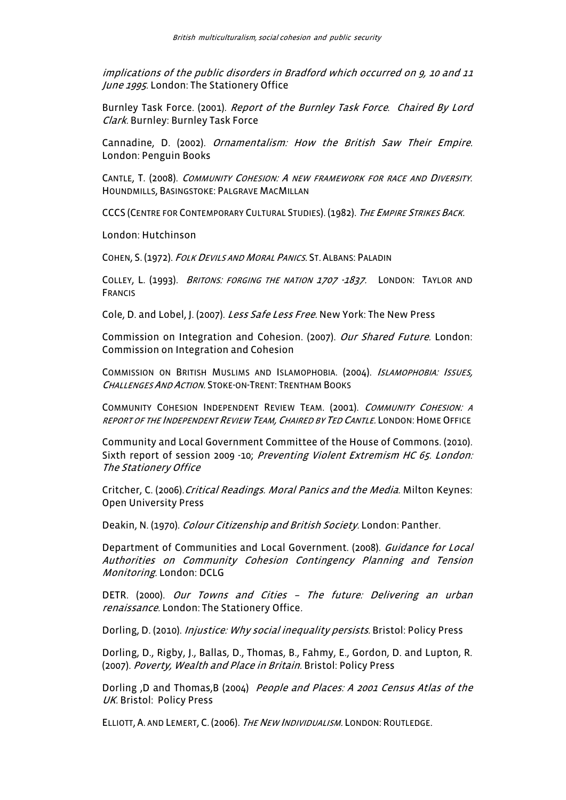implications of the public disorders in Bradford which occurred on 9, 10 and 11 June 1995. London: The Stationery Office

Burnley Task Force. (2001). Report of the Burnley Task Force. Chaired By Lord Clark. Burnley: Burnley Task Force

Cannadine, D. (2002). Ornamentalism: How the British Saw Their Empire. London: Penguin Books

CANTLE, T. (2008). COMMUNITY COHESION: A NEW FRAMEWORK FOR RACE AND DIVERSITY. HOUNDMILLS, BASINGSTOKE: PALGRAVE MACMILLAN

CCCS (CENTRE FOR CONTEMPORARY CULTURAL STUDIES). (1982). THE EMPIRE STRIKES BACK.

London: Hutchinson

COHEN, S. (1972). <sup>F</sup>OLK DEVILS AND MORAL PANICS. ST. ALBANS: PALADIN

COLLEY, L. (1993). *BRITONS: FORGING THE NATION 1707 -1837.* LONDON: TAYLOR AND FRANCIS

Cole, D. and Lobel, J. (2007). Less Safe Less Free. New York: The New Press

Commission on Integration and Cohesion. (2007). Our Shared Future. London: Commission on Integration and Cohesion

COMMISSION ON BRITISH MUSLIMS AND ISLAMOPHOBIA. (2004). <sup>I</sup>SLAMOPHOBIA: <sup>I</sup>SSUES, <sup>C</sup>HALLENGES AND ACTION. STOKE-ON-TRENT: TRENTHAM BOOKS

COMMUNITY COHESION INDEPENDENT REVIEW TEAM. (2001). COMMUNITY COHESION: A REPORT OF THE INDEPENDENT REVIEW TEAM, CHAIRED BY TED CANTLE. LONDON: HOME OFFICE

Community and Local Government Committee of the House of Commons. (2010). Sixth report of session 2009 -10; Preventing Violent Extremism HC 65. London: The Stationery Office

Critcher, C. (2006). *Critical Readings. Moral Panics and the Media.* Milton Keynes: Open University Press

Deakin, N. (1970). Colour Citizenship and British Society. London: Panther.

Department of Communities and Local Government. (2008). Guidance for Local Authorities on Community Cohesion Contingency Planning and Tension Monitoring. London: DCLG

DETR. (2000). Our Towns and Cities - The future: Delivering an urban renaissance. London: The Stationery Office.

Dorling, D. (2010). *Injustice: Why social inequality persists*. Bristol: Policy Press

Dorling, D., Rigby, J., Ballas, D., Thomas, B., Fahmy, E., Gordon, D. and Lupton, R. (2007). Poverty, Wealth and Place in Britain. Bristol: Policy Press

Dorling ,D and Thomas,B (2004) People and Places: A 2001 Census Atlas of the UK. Bristol: Policy Press

ELLIOTT, A. AND LEMERT, C. (2006). THE NEW INDIVIDUALISM. LONDON: ROUTLEDGE.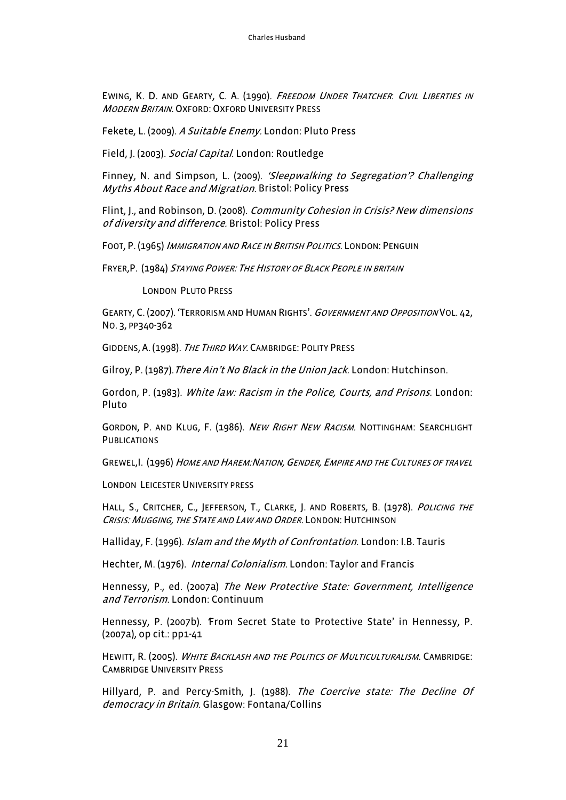EWING, K. D. AND GEARTY, C. A. (1990). FREEDOM UNDER THATCHER. CIVIL LIBERTIES IN **MODERN BRITAIN. OXFORD: OXFORD UNIVERSITY PRESS** 

Fekete, L. (2009). A Suitable Enemy. London: Pluto Press

Field, J. (2003). Social Capital. London: Routledge

Finney, N. and Simpson, L. (2009). 'Sleepwalking to Segregation'? Challenging Myths About Race and Migration. Bristol: Policy Press

Flint, J., and Robinson, D. (2008). Community Cohesion in Crisis? New dimensions of diversity and difference. Bristol: Policy Press

FOOT, P. (1965) <sup>I</sup>MMIGRATION AND RACE IN BRITISH POLITICS. LONDON: PENGUIN

FRYER,P. (1984) <sup>S</sup>TAYING POWER: <sup>T</sup>HE HISTORY OF BLACK PEOPLE IN BRITAIN

LONDON PLUTO PRESS

GEARTY, C. (2007). 'TERRORISM AND HUMAN RIGHTS'. GOVERNMENT AND OPPOSITION VOL. 42, NO. 3, PP340-362

GIDDENS, A. (1998). THE THIRD WAY. CAMBRIDGE: POLITY PRESS

Gilroy, P. (1987). *There Ain't No Black in the Union Jack*. London: Hutchinson.

Gordon, P. (1983). White law: Racism in the Police, Courts, and Prisons. London: Pluto

GORDON, P. AND KLUG, F. (1986). NEW RIGHT NEW RACISM. NOTTINGHAM: SEARCHLIGHT **PUBLICATIONS** 

GREWEL, I. (1996) HOME AND HAREM: NATION, GENDER, EMPIRE AND THE CULTURES OF TRAVEL

LONDON LEICESTER UNIVERSITY PRESS

HALL, S., CRITCHER, C., JEFFERSON, T., CLARKE, J. AND ROBERTS, B. (1978). POLICING THE CRISIS: MUGGING, THE STATE AND LAW AND ORDER. LONDON: HUTCHINSON

Halliday, F. (1996). *Islam and the Myth of Confrontation*. London: I.B. Tauris

Hechter, M. (1976). *Internal Colonialism*. London: Taylor and Francis

Hennessy, P., ed. (2007a) The New Protective State: Government, Intelligence and Terrorism. London: Continuum

Hennessy, P. (2007b). From Secret State to Protective State' in Hennessy, P. (2007a), op cit.: pp1-41

HEWITT, R. (2005). WHITE BACKLASH AND THE POLITICS OF MULTICULTURALISM. CAMBRIDGE: CAMBRIDGE UNIVERSITY PRESS

Hillyard, P. and Percy-Smith, J. (1988). The Coercive state: The Decline Of democracy in Britain. Glasgow: Fontana/Collins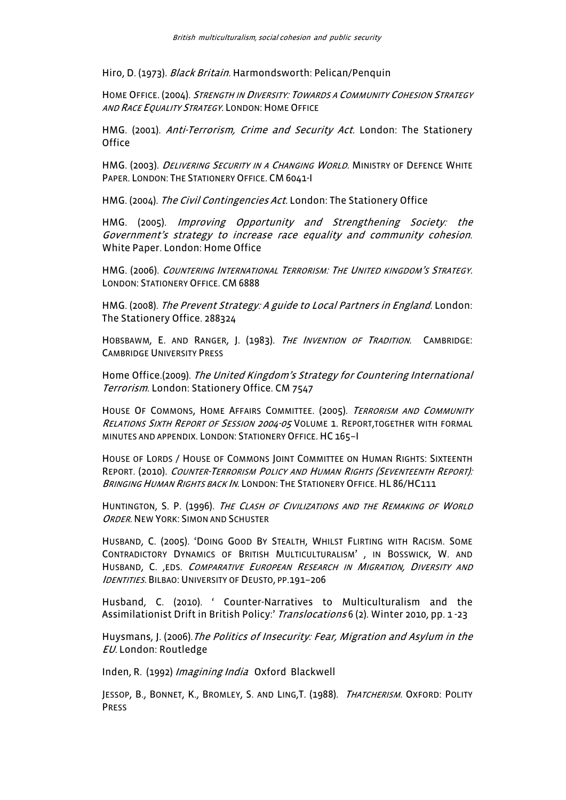Hiro, D. (1973). Black Britain. Harmondsworth: Pelican/Penquin

HOME OFFICE. (2004). STRENGTH IN DIVERSITY: TOWARDS A COMMUNITY COHESION STRATEGY AND RACE EQUALITY STRATEGY. LONDON: HOME OFFICE

HMG. (2001). Anti-Terrorism, Crime and Security Act. London: The Stationery **Office** 

HMG. (2003). *DELIVERING SECURITY IN A CHANGING WORLD*. MINISTRY OF DEFENCE WHITE PAPER. LONDON: THE STATIONERY OFFICE. CM 6041-I

HMG. (2004). The Civil Contingencies Act. London: The Stationery Office

HMG. (2005). Improving Opportunity and Strengthening Society: the Government's strategy to increase race equality and community cohesion. White Paper. London: Home Office

HMG. (2006). <sup>C</sup>OUNTERING INTERNATIONAL TERRORISM: <sup>T</sup>HE UNITED KINGDOM'S STRATEGY. LONDON: STATIONERY OFFICE. CM 6888

HMG. (2008). The Prevent Strategy: A guide to Local Partners in England. London: The Stationery Office. 288324

HOBSBAWM, E. AND RANGER, J. (1983). THE INVENTION OF TRADITION. CAMBRIDGE: CAMBRIDGE UNIVERSITY PRESS

Home Office.(2009). The United Kingdom's Strategy for Countering International Terrorism. London: Stationery Office. CM 7547

HOUSE OF COMMONS, HOME AFFAIRS COMMITTEE, (2005). TERRORISM AND COMMUNITY RELATIONS SIXTH REPORT OF SESSION 2004-05 VOLUME 1. REPORT, TOGETHER WITH FORMAL MINUTES AND APPENDIX. LONDON: STATIONERY OFFICE.HC 165–I

HOUSE OF LORDS / HOUSE OF COMMONS JOINT COMMITTEE ON HUMAN RIGHTS: SIXTEENTH REPORT. (2010). COUNTER-TERRORISM POLICY AND HUMAN RIGHTS (SEVENTEENTH REPORT): BRINGING HUMAN RIGHTS BACK IN. LONDON: THE STATIONERY OFFICE. HL 86/HC111

HUNTINGTON, S. P. (1996). THE CLASH OF CIVILIZATIONS AND THE REMAKING OF WORLD ORDER. NEW YORK: SIMON AND SCHUSTER

HUSBAND, C. (2005). 'DOING GOOD BY STEALTH, WHILST FLIRTING WITH RACISM. SOME CONTRADICTORY DYNAMICS OF BRITISH MULTICULTURALISM' , IN BOSSWICK, W. AND HUSBAND, C. , EDS. COMPARATIVE EUROPEAN RESEARCH IN MIGRATION, DIVERSITY AND IDENTITIES. BILBAO: UNIVERSITY OF DEUSTO, PP.191-206

Husband, C. (2010). ' Counter-Narratives to Multiculturalism and the Assimilationist Drift in British Policy:' Translocations 6 (2). Winter 2010, pp. 1-23

Huysmans, J. (2006). The Politics of Insecurity: Fear, Migration and Asylum in the EU. London: Routledge

Inden, R. (1992) Imagining India Oxford Blackwell

JESSOP, B., BONNET, K., BROMLEY, S. AND LING, T. (1988). THATCHERISM. OXFORD: POLITY PRESS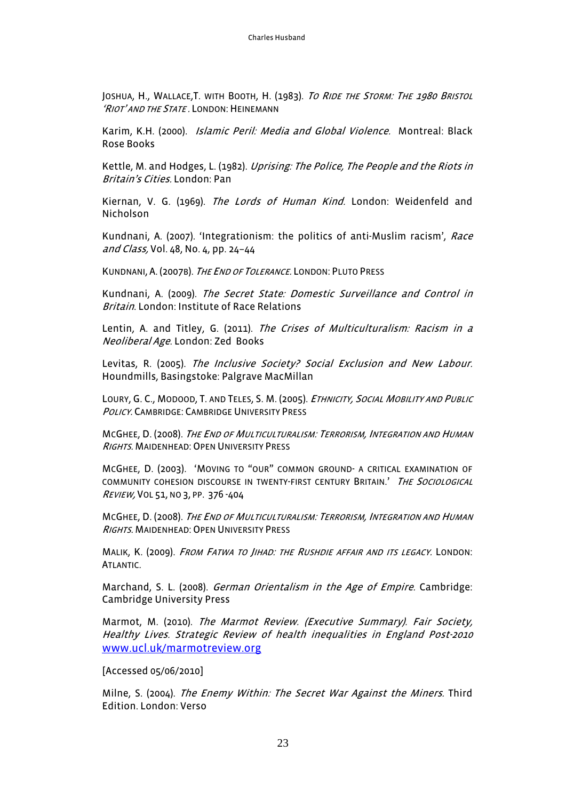JOSHUA, H., WALLACE, T. WITH BOOTH, H. (1983). TO RIDE THE STORM: THE 1980 BRISTOL 'RIOT' AND THE STATE. LONDON: HEINEMANN

Karim, K.H. (2000). *Islamic Peril: Media and Global Violence.* Montreal: Black Rose Books

Kettle, M. and Hodges, L. (1982). Uprising: The Police, The People and the Riots in Britain's Cities. London: Pan

Kiernan, V. G. (1969). The Lords of Human Kind. London: Weidenfeld and Nicholson

Kundnani, A. (2007). 'Integrationism: the politics of anti-Muslim racism', Race and Class, Vol. 48, No. 4, pp. 24–44

KUNDNANI, A. (2007B). THE END OF TOLERANCE. LONDON: PLUTO PRESS

Kundnani, A. (2009). The Secret State: Domestic Surveillance and Control in Britain. London: Institute of Race Relations

Lentin, A. and Titley, G. (2011). The Crises of Multiculturalism: Racism in a Neoliberal Age. London: Zed Books

Levitas, R. (2005). The Inclusive Society? Social Exclusion and New Labour. Houndmills, Basingstoke: Palgrave MacMillan

LOURY, G. C., MODOOD, T. AND TELES, S. M. (2005). ETHNICITY, SOCIAL MOBILITY AND PUBLIC POLICY. CAMBRIDGE: CAMBRIDGE UNIVERSITY PRESS

MCGHEE, D. (2008). <sup>T</sup>HE END OF MULTICULTURALISM: <sup>T</sup>ERRORISM, <sup>I</sup>NTEGRATION AND HUMAN RIGHTS. MAIDENHEAD: OPEN UNIVERSITY PRESS

MCGHEE, D. (2003). 'MOVING TO "OUR" COMMON GROUND- A CRITICAL EXAMINATION OF COMMUNITY COHESION DISCOURSE IN TWENTY-FIRST CENTURY BRITAIN.' THE SOCIOLOGICAL <sup>R</sup>EVIEW, VOL 51, NO 3, PP. 376 -404

MCGHEE, D. (2008). <sup>T</sup>HE END OF MULTICULTURALISM: <sup>T</sup>ERRORISM, <sup>I</sup>NTEGRATION AND HUMAN RIGHTS. MAIDENHEAD: OPEN UNIVERSITY PRESS

MALIK, K. (2009). <sup>F</sup>ROM FATWA TO JIHAD: THE RUSHDIE AFFAIR AND ITS LEGACY. LONDON: ATLANTIC.

Marchand, S. L. (2008). German Orientalism in the Age of Empire. Cambridge: Cambridge University Press

Marmot, M. (2010). The Marmot Review. (Executive Summary). Fair Society, Healthy Lives. Strategic Review of health inequalities in England Post-2010 www.ucl.uk/marmotreview.org

[Accessed 05/06/2010]

Milne, S. (2004). The Enemy Within: The Secret War Against the Miners. Third Edition. London: Verso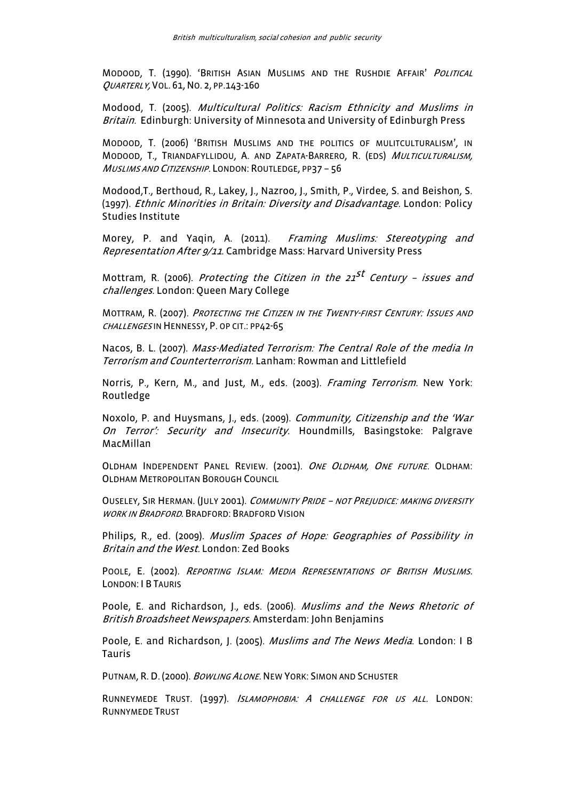MODOOD, T. (1990). 'BRITISH ASIAN MUSLIMS AND THE RUSHDIE AFFAIR' <sup>P</sup>OLITICAL QUARTERLY, VOL. 61,NO. 2, PP.143-160

Modood, T. (2005). Multicultural Politics: Racism Ethnicity and Muslims in Britain. Edinburgh: University of Minnesota and University of Edinburgh Press

MODOOD, T. (2006) 'BRITISH MUSLIMS AND THE POLITICS OF MULITCULTURALISM', IN MODOOD, T., TRIANDAFYLLIDOU, A. AND ZAPATA-BARRERO, R. (EDS) <sup>M</sup>ULTICULTURALISM, <sup>M</sup>USLIMS AND CITIZENSHIP. LONDON: ROUTLEDGE, PP37 – 56

Modood,T., Berthoud, R., Lakey, J., Nazroo, J., Smith, P., Virdee, S. and Beishon, S. (1997). Ethnic Minorities in Britain: Diversity and Disadvantage. London: Policy Studies Institute

Morey, P. and Yaqin, A. (2011). Framing Muslims: Stereotyping and Representation After 9/11. Cambridge Mass: Harvard University Press

Mottram, R. (2006). *Protecting the Citizen in the 21<sup>st</sup> Centurv - issues and* challenges. London: Queen Mary College

MOTTRAM, R. (2007). <sup>P</sup>ROTECTING THE CITIZEN IN THE TWENTY-FIRST CENTURY: <sup>I</sup>SSUES AND CHALLENGES IN HENNESSY, P. OP CIT.: PP42-65

Nacos, B. L. (2007). Mass-Mediated Terrorism: The Central Role of the media In Terrorism and Counterterrorism. Lanham: Rowman and Littlefield

Norris, P., Kern, M., and Just, M., eds. (2003). *Framing Terrorism*. New York: Routledge

Noxolo, P. and Huysmans, J., eds. (2009). Community, Citizenship and the 'War On Terror': Security and Insecurity. Houndmills, Basingstoke: Palgrave MacMillan

OLDHAM INDEPENDENT PANEL REVIEW. (2001). ONE OLDHAM, ONE FUTURE. OLDHAM: OLDHAM METROPOLITAN BOROUGH COUNCIL

OUSELEY, SIR HERMAN. (JULY 2001). COMMUNITY PRIDE - NOT PREJUDICE: MAKING DIVERSITY WORK IN BRADFORD. BRADFORD: BRADFORD VISION

Philips, R., ed. (2009). *Muslim Spaces of Hope: Geographies of Possibility in* Britain and the West. London: Zed Books

POOLE, E. (2002). REPORTING ISLAM: MEDIA REPRESENTATIONS OF BRITISH MUSLIMS. LONDON: I B TAURIS

Poole, E. and Richardson, J., eds. (2006). Muslims and the News Rhetoric of British Broadsheet Newspapers. Amsterdam: John Benjamins

Poole, E. and Richardson, J. (2005). *Muslims and The News Media*. London: I B Tauris

PUTNAM, R. D. (2000). *BOWLING ALONE.* NEW YORK: SIMON AND SCHUSTER

RUNNEYMEDE TRUST. (1997). <sup>I</sup>SLAMOPHOBIA: <sup>A</sup> CHALLENGE FOR US ALL. LONDON: RUNNYMEDE TRUST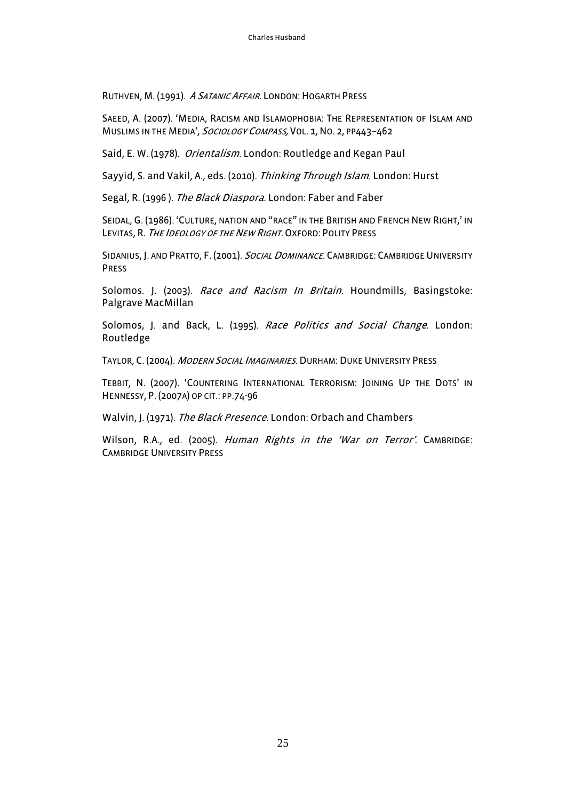RUTHVEN, M. (1991). A SATANIC AFFAIR. LONDON: HOGARTH PRESS

SAEED, A. (2007). 'MEDIA, RACISM AND ISLAMOPHOBIA: THE REPRESENTATION OF ISLAM AND MUSLIMS IN THE MEDIA', SOCIOLOGY COMPASS, VOL. 1, NO. 2, PP443-462

Said, E. W. (1978). Orientalism. London: Routledge and Kegan Paul

Sayyid, S. and Vakil, A., eds. (2010). Thinking Through Islam. London: Hurst

Segal, R. (1996). The Black Diaspora. London: Faber and Faber

SEIDAL, G. (1986). 'CULTURE, NATION AND "RACE" IN THE BRITISH AND FRENCH NEW RIGHT,' IN LEVITAS, R. THE IDEOLOGY OF THE NEW RIGHT. OXFORD: POLITY PRESS

SIDANIUS, J. AND PRATTO, F. (2001). *SOCIAL DOMINANCE*. CAMBRIDGE: CAMBRIDGE UNIVERSITY PRESS

Solomos. J. (2003). Race and Racism In Britain. Houndmills, Basingstoke: Palgrave MacMillan

Solomos, J. and Back, L. (1995). Race Politics and Social Change. London: Routledge

TAYLOR, C. (2004). MODERN SOCIAL IMAGINARIES. DURHAM: DUKE UNIVERSITY PRESS

TEBBIT, N. (2007). 'COUNTERING INTERNATIONAL TERRORISM: JOINING UP THE DOTS' IN HENNESSY, P. (2007A) OP CIT.: PP.74-96

Walvin, J. (1971). The Black Presence. London: Orbach and Chambers

Wilson, R.A., ed. (2005). Human Rights in the 'War on Terror'. CAMBRIDGE: CAMBRIDGE UNIVERSITY PRESS